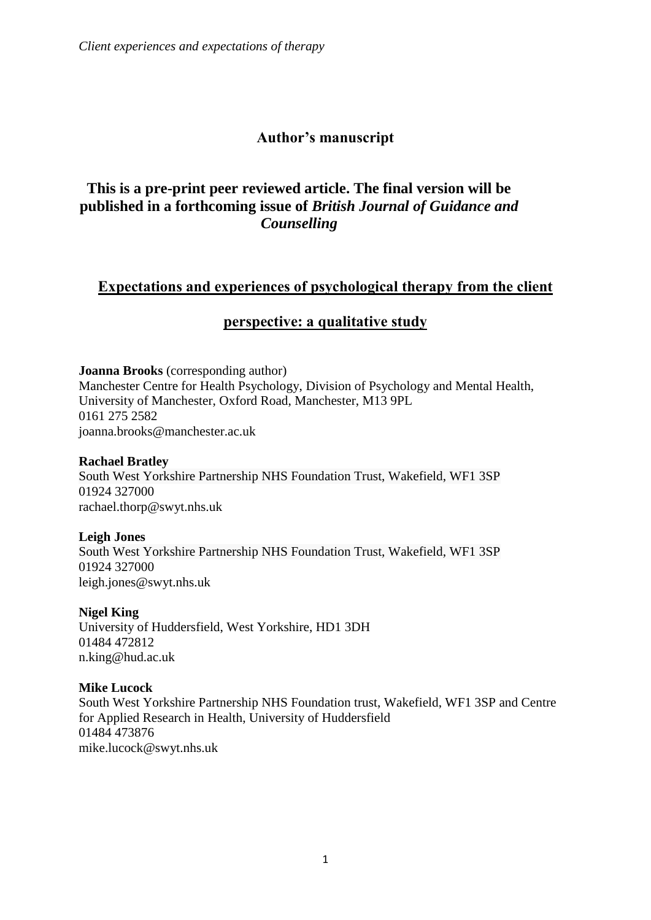### **Author's manuscript**

## **This is a pre-print peer reviewed article. The final version will be published in a forthcoming issue of** *British Journal of Guidance and Counselling*

### **Expectations and experiences of psychological therapy from the client**

### **perspective: a qualitative study**

**Joanna Brooks** (corresponding author) Manchester Centre for Health Psychology, Division of Psychology and Mental Health, University of Manchester, Oxford Road, Manchester, M13 9PL 0161 275 2582 joanna.brooks@manchester.ac.uk

**Rachael Bratley** South West Yorkshire Partnership NHS Foundation Trust, Wakefield, WF1 3SP 01924 327000 rachael.thorp@swyt.nhs.uk

**Leigh Jones**  South West Yorkshire Partnership NHS Foundation Trust, Wakefield, WF1 3SP 01924 327000 leigh.jones@swyt.nhs.uk

**Nigel King**  University of Huddersfield, West Yorkshire, HD1 3DH 01484 472812 n.king@hud.ac.uk

**Mike Lucock**

South West Yorkshire Partnership NHS Foundation trust, Wakefield, WF1 3SP and Centre for Applied Research in Health, University of Huddersfield 01484 473876 mike.lucock@swyt.nhs.uk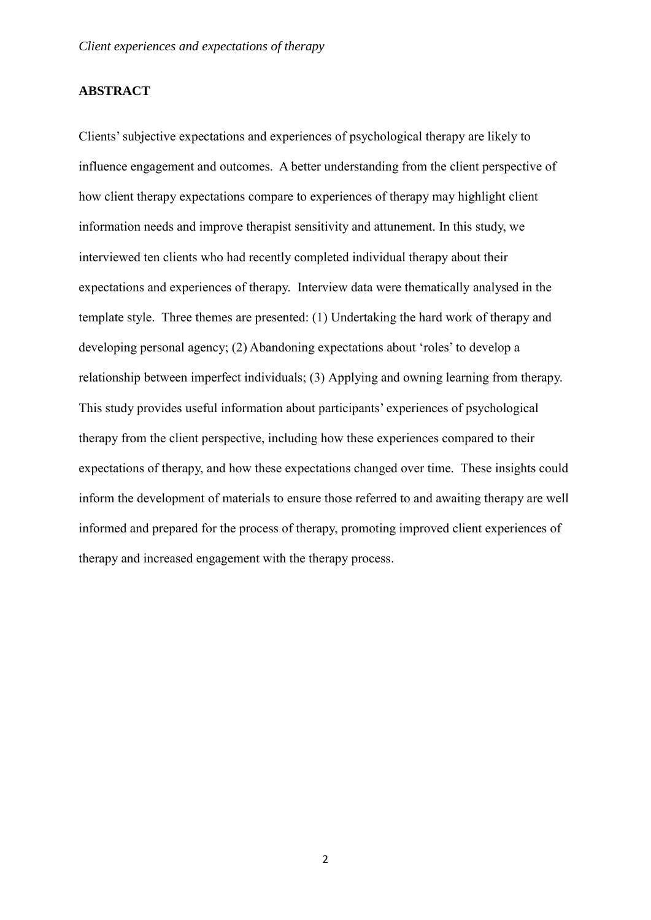#### **ABSTRACT**

Clients' subjective expectations and experiences of psychological therapy are likely to influence engagement and outcomes. A better understanding from the client perspective of how client therapy expectations compare to experiences of therapy may highlight client information needs and improve therapist sensitivity and attunement. In this study, we interviewed ten clients who had recently completed individual therapy about their expectations and experiences of therapy. Interview data were thematically analysed in the template style. Three themes are presented: (1) Undertaking the hard work of therapy and developing personal agency; (2) Abandoning expectations about 'roles' to develop a relationship between imperfect individuals; (3) Applying and owning learning from therapy. This study provides useful information about participants' experiences of psychological therapy from the client perspective, including how these experiences compared to their expectations of therapy, and how these expectations changed over time. These insights could inform the development of materials to ensure those referred to and awaiting therapy are well informed and prepared for the process of therapy, promoting improved client experiences of therapy and increased engagement with the therapy process.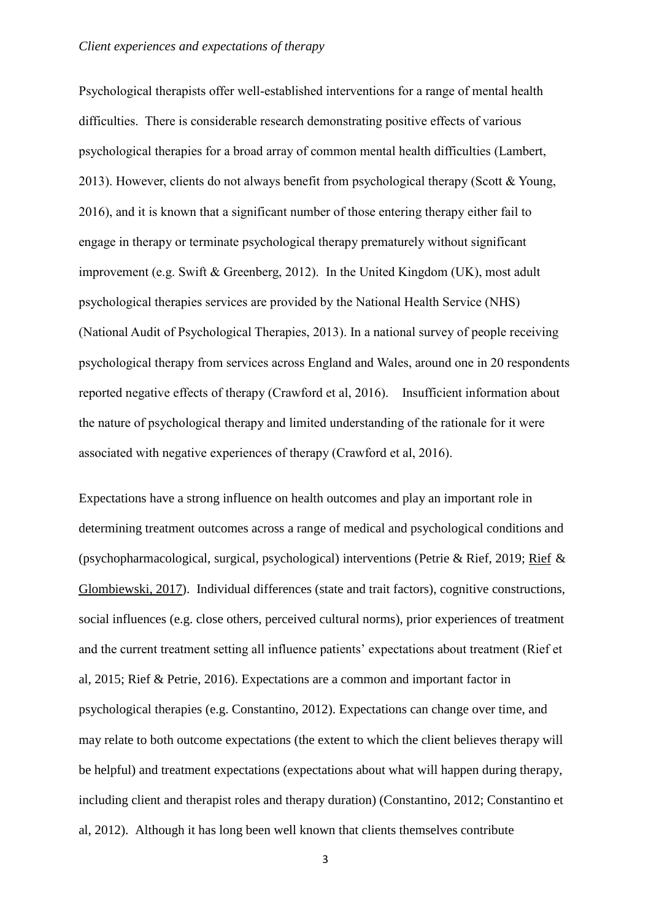Psychological therapists offer well-established interventions for a range of mental health difficulties. There is considerable research demonstrating positive effects of various psychological therapies for a broad array of common mental health difficulties (Lambert, 2013). However, clients do not always benefit from psychological therapy (Scott & Young, 2016), and it is known that a significant number of those entering therapy either fail to engage in therapy or terminate psychological therapy prematurely without significant improvement (e.g. Swift & Greenberg, 2012). In the United Kingdom (UK), most adult psychological therapies services are provided by the National Health Service (NHS) (National Audit of Psychological Therapies, 2013). In a national survey of people receiving psychological therapy from services across England and Wales, around one in 20 respondents reported negative effects of therapy (Crawford et al, 2016). Insufficient information about the nature of psychological therapy and limited understanding of the rationale for it were associated with negative experiences of therapy (Crawford et al, 2016).

Expectations have a strong influence on health outcomes and play an important role in determining treatment outcomes across a range of medical and psychological conditions and (psychopharmacological, surgical, psychological) interventions (Petrie & Rief, 2019; Rief & Glombiewski, 2017). Individual differences (state and trait factors), cognitive constructions, social influences (e.g. close others, perceived cultural norms), prior experiences of treatment and the current treatment setting all influence patients' expectations about treatment (Rief et al, 2015; Rief & Petrie, 2016). Expectations are a common and important factor in psychological therapies (e.g. Constantino, 2012). Expectations can change over time, and may relate to both outcome expectations (the extent to which the client believes therapy will be helpful) and treatment expectations (expectations about what will happen during therapy, including client and therapist roles and therapy duration) (Constantino, 2012; Constantino et al, 2012). Although it has long been well known that clients themselves contribute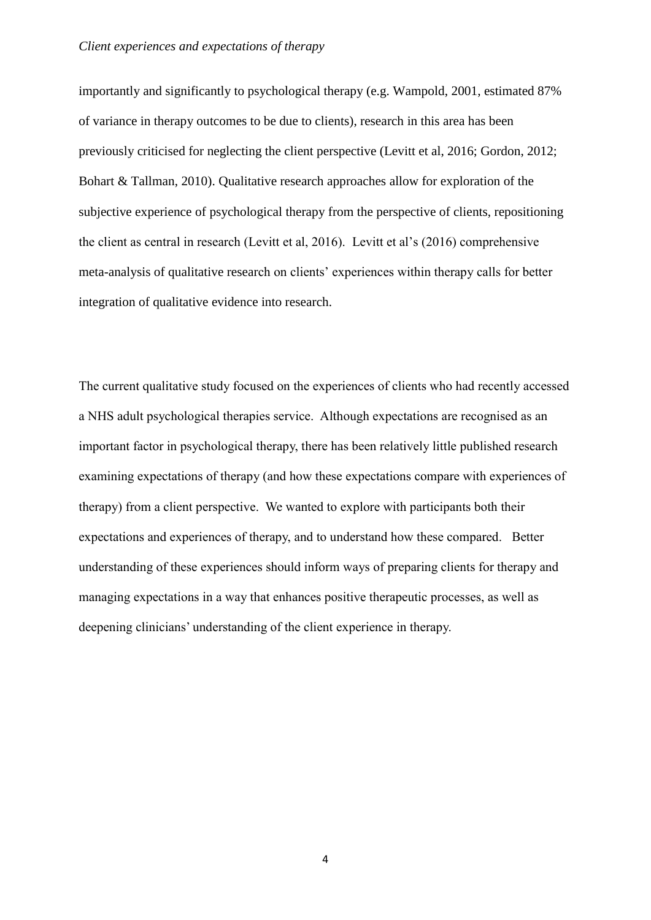importantly and significantly to psychological therapy (e.g. Wampold, 2001, estimated 87% of variance in therapy outcomes to be due to clients), research in this area has been previously criticised for neglecting the client perspective (Levitt et al, 2016; Gordon, 2012; Bohart & Tallman, 2010). Qualitative research approaches allow for exploration of the subjective experience of psychological therapy from the perspective of clients, repositioning the client as central in research (Levitt et al, 2016). Levitt et al's (2016) comprehensive meta-analysis of qualitative research on clients' experiences within therapy calls for better integration of qualitative evidence into research.

The current qualitative study focused on the experiences of clients who had recently accessed a NHS adult psychological therapies service. Although expectations are recognised as an important factor in psychological therapy, there has been relatively little published research examining expectations of therapy (and how these expectations compare with experiences of therapy) from a client perspective. We wanted to explore with participants both their expectations and experiences of therapy, and to understand how these compared. Better understanding of these experiences should inform ways of preparing clients for therapy and managing expectations in a way that enhances positive therapeutic processes, as well as deepening clinicians' understanding of the client experience in therapy.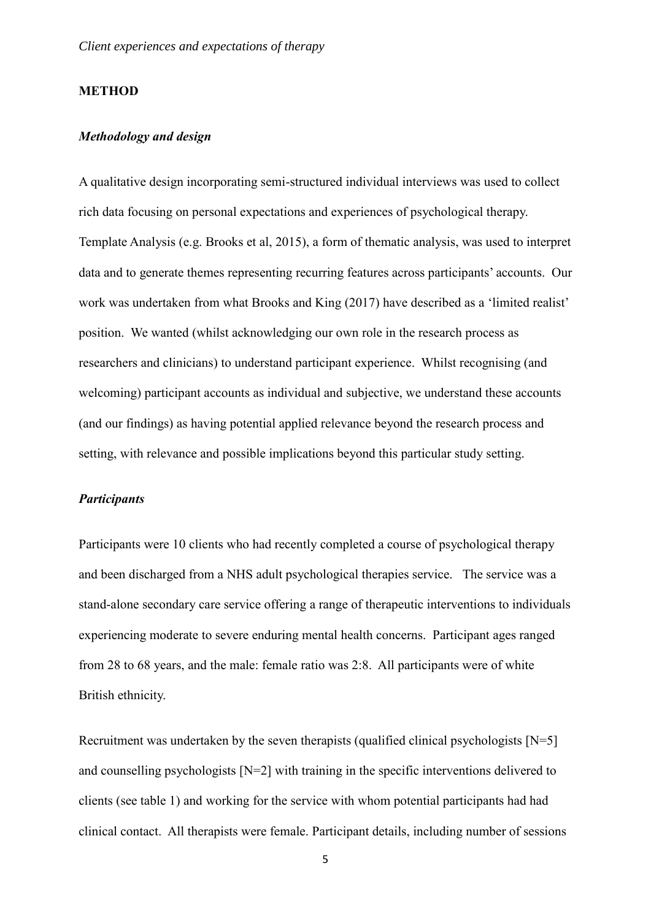#### **METHOD**

#### *Methodology and design*

A qualitative design incorporating semi-structured individual interviews was used to collect rich data focusing on personal expectations and experiences of psychological therapy. Template Analysis (e.g. Brooks et al, 2015), a form of thematic analysis, was used to interpret data and to generate themes representing recurring features across participants' accounts. Our work was undertaken from what Brooks and King (2017) have described as a 'limited realist' position. We wanted (whilst acknowledging our own role in the research process as researchers and clinicians) to understand participant experience. Whilst recognising (and welcoming) participant accounts as individual and subjective, we understand these accounts (and our findings) as having potential applied relevance beyond the research process and setting, with relevance and possible implications beyond this particular study setting.

#### *Participants*

Participants were 10 clients who had recently completed a course of psychological therapy and been discharged from a NHS adult psychological therapies service. The service was a stand-alone secondary care service offering a range of therapeutic interventions to individuals experiencing moderate to severe enduring mental health concerns. Participant ages ranged from 28 to 68 years, and the male: female ratio was 2:8. All participants were of white British ethnicity.

Recruitment was undertaken by the seven therapists (qualified clinical psychologists [N=5] and counselling psychologists [N=2] with training in the specific interventions delivered to clients (see table 1) and working for the service with whom potential participants had had clinical contact. All therapists were female. Participant details, including number of sessions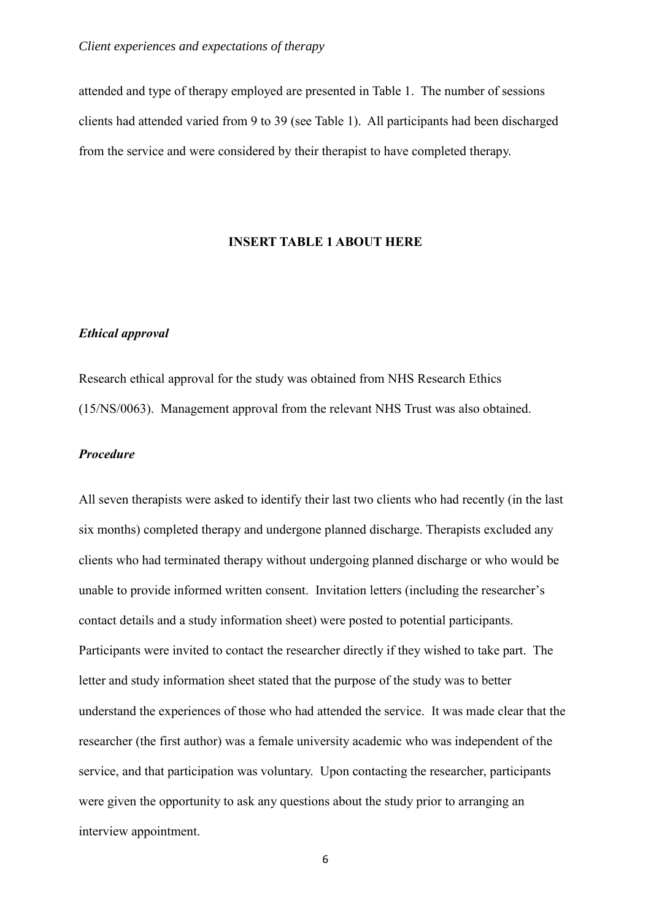attended and type of therapy employed are presented in Table 1. The number of sessions clients had attended varied from 9 to 39 (see Table 1). All participants had been discharged from the service and were considered by their therapist to have completed therapy.

#### **INSERT TABLE 1 ABOUT HERE**

#### *Ethical approval*

Research ethical approval for the study was obtained from NHS Research Ethics (15/NS/0063). Management approval from the relevant NHS Trust was also obtained.

#### *Procedure*

All seven therapists were asked to identify their last two clients who had recently (in the last six months) completed therapy and undergone planned discharge. Therapists excluded any clients who had terminated therapy without undergoing planned discharge or who would be unable to provide informed written consent. Invitation letters (including the researcher's contact details and a study information sheet) were posted to potential participants. Participants were invited to contact the researcher directly if they wished to take part. The letter and study information sheet stated that the purpose of the study was to better understand the experiences of those who had attended the service. It was made clear that the researcher (the first author) was a female university academic who was independent of the service, and that participation was voluntary. Upon contacting the researcher, participants were given the opportunity to ask any questions about the study prior to arranging an interview appointment.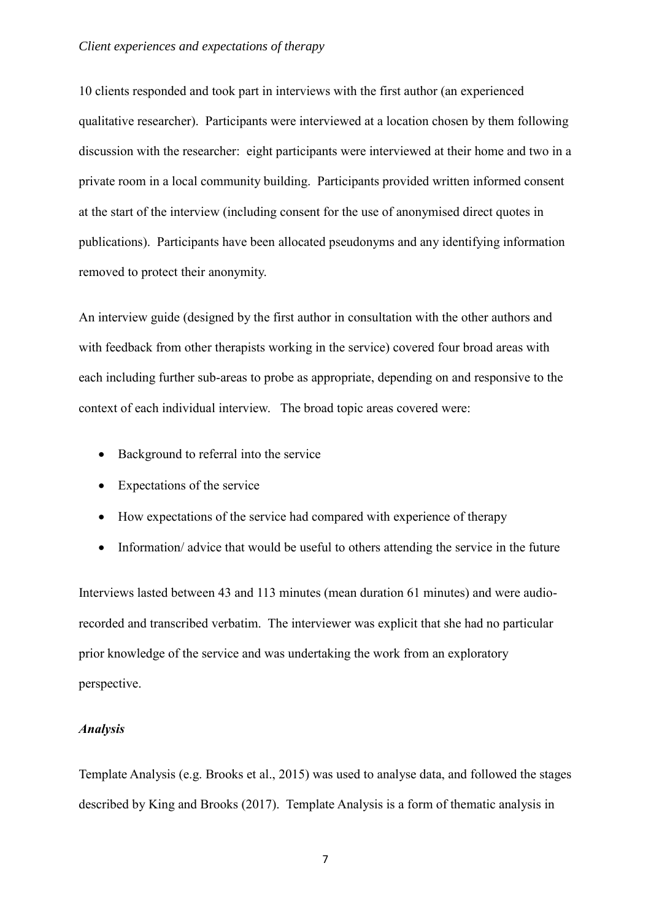10 clients responded and took part in interviews with the first author (an experienced qualitative researcher). Participants were interviewed at a location chosen by them following discussion with the researcher: eight participants were interviewed at their home and two in a private room in a local community building. Participants provided written informed consent at the start of the interview (including consent for the use of anonymised direct quotes in publications). Participants have been allocated pseudonyms and any identifying information removed to protect their anonymity.

An interview guide (designed by the first author in consultation with the other authors and with feedback from other therapists working in the service) covered four broad areas with each including further sub-areas to probe as appropriate, depending on and responsive to the context of each individual interview. The broad topic areas covered were:

- Background to referral into the service
- Expectations of the service
- How expectations of the service had compared with experience of therapy
- Information/ advice that would be useful to others attending the service in the future

Interviews lasted between 43 and 113 minutes (mean duration 61 minutes) and were audiorecorded and transcribed verbatim. The interviewer was explicit that she had no particular prior knowledge of the service and was undertaking the work from an exploratory perspective.

#### *Analysis*

Template Analysis (e.g. Brooks et al., 2015) was used to analyse data, and followed the stages described by King and Brooks (2017). Template Analysis is a form of thematic analysis in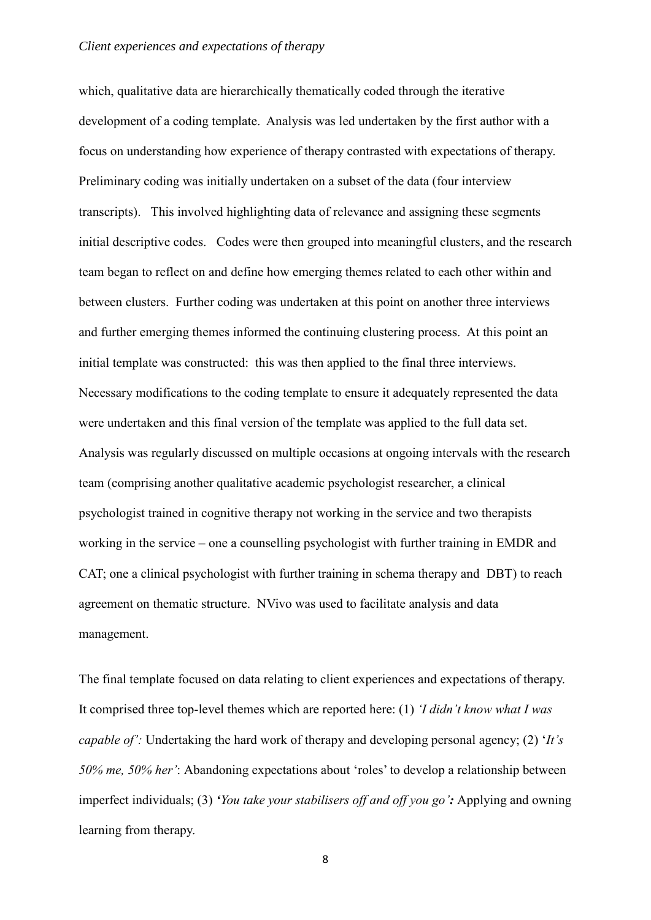which, qualitative data are hierarchically thematically coded through the iterative development of a coding template. Analysis was led undertaken by the first author with a focus on understanding how experience of therapy contrasted with expectations of therapy. Preliminary coding was initially undertaken on a subset of the data (four interview transcripts). This involved highlighting data of relevance and assigning these segments initial descriptive codes. Codes were then grouped into meaningful clusters, and the research team began to reflect on and define how emerging themes related to each other within and between clusters. Further coding was undertaken at this point on another three interviews and further emerging themes informed the continuing clustering process. At this point an initial template was constructed: this was then applied to the final three interviews. Necessary modifications to the coding template to ensure it adequately represented the data were undertaken and this final version of the template was applied to the full data set. Analysis was regularly discussed on multiple occasions at ongoing intervals with the research team (comprising another qualitative academic psychologist researcher, a clinical psychologist trained in cognitive therapy not working in the service and two therapists working in the service – one a counselling psychologist with further training in EMDR and CAT; one a clinical psychologist with further training in schema therapy and DBT) to reach agreement on thematic structure. NVivo was used to facilitate analysis and data management.

The final template focused on data relating to client experiences and expectations of therapy. It comprised three top-level themes which are reported here: (1) *'I didn't know what I was capable of':* Undertaking the hard work of therapy and developing personal agency; (2) '*It's 50% me, 50% her'*: Abandoning expectations about 'roles' to develop a relationship between imperfect individuals; (3) *'You take your stabilisers off and off you go':* Applying and owning learning from therapy.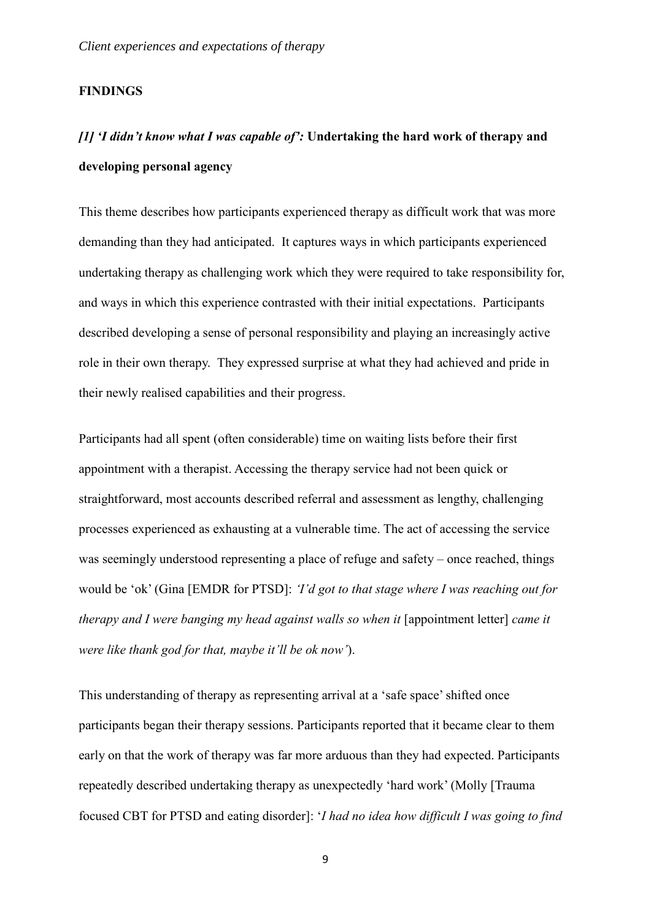#### **FINDINGS**

## *[1] 'I didn't know what I was capable of':* **Undertaking the hard work of therapy and developing personal agency**

This theme describes how participants experienced therapy as difficult work that was more demanding than they had anticipated. It captures ways in which participants experienced undertaking therapy as challenging work which they were required to take responsibility for, and ways in which this experience contrasted with their initial expectations. Participants described developing a sense of personal responsibility and playing an increasingly active role in their own therapy. They expressed surprise at what they had achieved and pride in their newly realised capabilities and their progress.

Participants had all spent (often considerable) time on waiting lists before their first appointment with a therapist. Accessing the therapy service had not been quick or straightforward, most accounts described referral and assessment as lengthy, challenging processes experienced as exhausting at a vulnerable time. The act of accessing the service was seemingly understood representing a place of refuge and safety – once reached, things would be 'ok' (Gina [EMDR for PTSD]: *'I'd got to that stage where I was reaching out for therapy and I were banging my head against walls so when it* [appointment letter] *came it were like thank god for that, maybe it'll be ok now'*).

This understanding of therapy as representing arrival at a 'safe space' shifted once participants began their therapy sessions. Participants reported that it became clear to them early on that the work of therapy was far more arduous than they had expected. Participants repeatedly described undertaking therapy as unexpectedly 'hard work' (Molly [Trauma focused CBT for PTSD and eating disorder]: '*I had no idea how difficult I was going to find*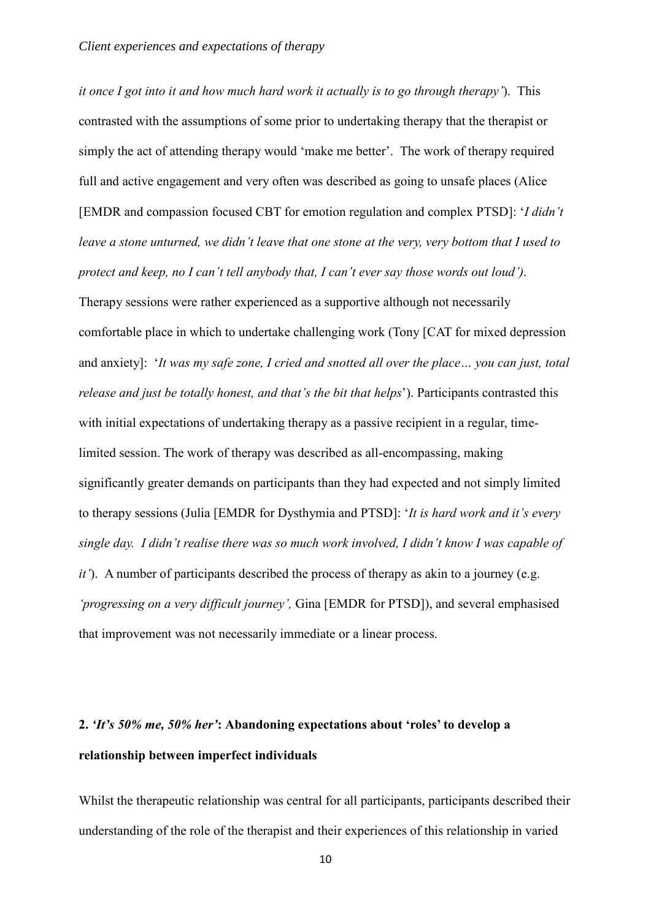*it once I got into it and how much hard work it actually is to go through therapy'*). This contrasted with the assumptions of some prior to undertaking therapy that the therapist or simply the act of attending therapy would 'make me better'. The work of therapy required full and active engagement and very often was described as going to unsafe places (Alice [EMDR and compassion focused CBT for emotion regulation and complex PTSD]: '*I didn't leave a stone unturned, we didn't leave that one stone at the very, very bottom that I used to protect and keep, no I can't tell anybody that, I can't ever say those words out loud')*. Therapy sessions were rather experienced as a supportive although not necessarily comfortable place in which to undertake challenging work (Tony [CAT for mixed depression and anxiety]: '*It was my safe zone, I cried and snotted all over the place… you can just, total release and just be totally honest, and that's the bit that helps*'). Participants contrasted this with initial expectations of undertaking therapy as a passive recipient in a regular, timelimited session. The work of therapy was described as all-encompassing, making significantly greater demands on participants than they had expected and not simply limited to therapy sessions (Julia [EMDR for Dysthymia and PTSD]: '*It is hard work and it's every single day. I didn't realise there was so much work involved, I didn't know I was capable of it'*). A number of participants described the process of therapy as akin to a journey (e.g. *'progressing on a very difficult journey',* Gina [EMDR for PTSD]), and several emphasised that improvement was not necessarily immediate or a linear process.

## **2.** *'It's 50% me, 50% her'***: Abandoning expectations about 'roles' to develop a relationship between imperfect individuals**

Whilst the therapeutic relationship was central for all participants, participants described their understanding of the role of the therapist and their experiences of this relationship in varied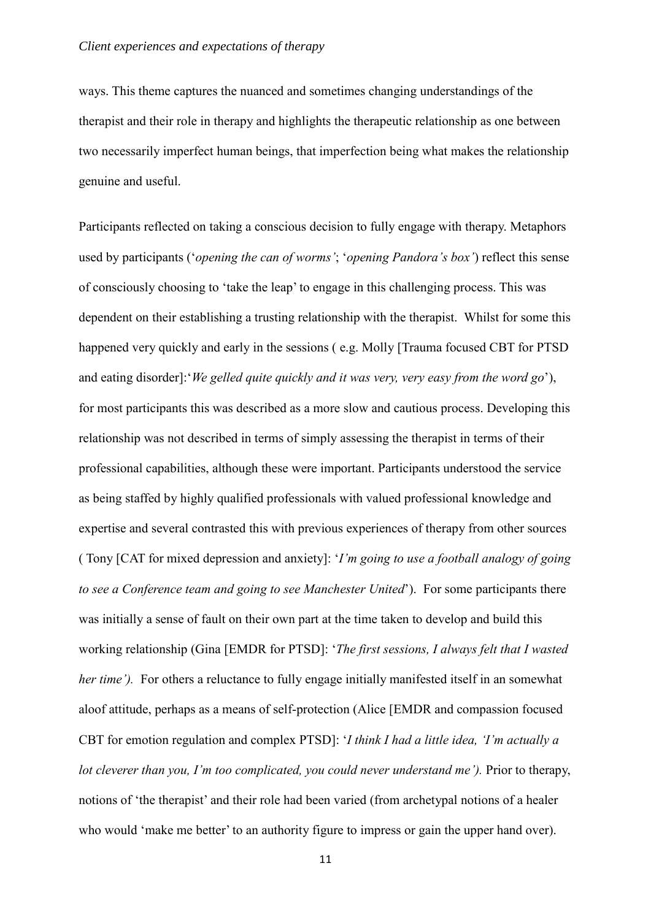ways. This theme captures the nuanced and sometimes changing understandings of the therapist and their role in therapy and highlights the therapeutic relationship as one between two necessarily imperfect human beings, that imperfection being what makes the relationship genuine and useful.

Participants reflected on taking a conscious decision to fully engage with therapy. Metaphors used by participants ('*opening the can of worms'*; '*opening Pandora's box'*) reflect this sense of consciously choosing to 'take the leap' to engage in this challenging process. This was dependent on their establishing a trusting relationship with the therapist. Whilst for some this happened very quickly and early in the sessions ( e.g. Molly [Trauma focused CBT for PTSD and eating disorder]:'*We gelled quite quickly and it was very, very easy from the word go*'), for most participants this was described as a more slow and cautious process. Developing this relationship was not described in terms of simply assessing the therapist in terms of their professional capabilities, although these were important. Participants understood the service as being staffed by highly qualified professionals with valued professional knowledge and expertise and several contrasted this with previous experiences of therapy from other sources ( Tony [CAT for mixed depression and anxiety]: '*I'm going to use a football analogy of going to see a Conference team and going to see Manchester United*'). For some participants there was initially a sense of fault on their own part at the time taken to develop and build this working relationship (Gina [EMDR for PTSD]: '*The first sessions, I always felt that I wasted her time'*). For others a reluctance to fully engage initially manifested itself in an somewhat aloof attitude, perhaps as a means of self-protection (Alice [EMDR and compassion focused CBT for emotion regulation and complex PTSD]: '*I think I had a little idea, 'I'm actually a lot cleverer than you, I'm too complicated, you could never understand me').* Prior to therapy, notions of 'the therapist' and their role had been varied (from archetypal notions of a healer who would 'make me better' to an authority figure to impress or gain the upper hand over).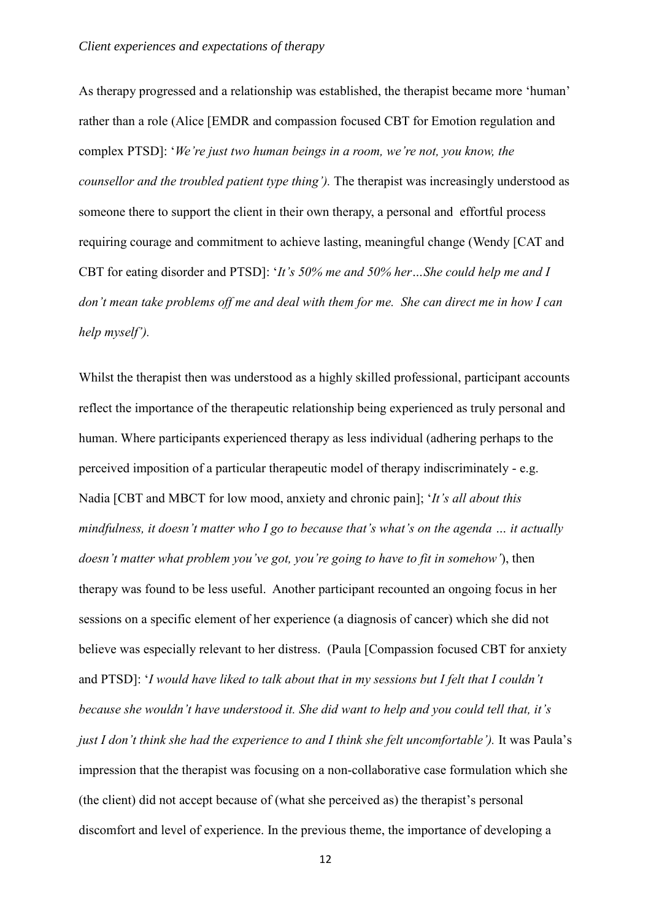As therapy progressed and a relationship was established, the therapist became more 'human' rather than a role (Alice [EMDR and compassion focused CBT for Emotion regulation and complex PTSD]: '*We're just two human beings in a room, we're not, you know, the counsellor and the troubled patient type thing').* The therapist was increasingly understood as someone there to support the client in their own therapy, a personal and effortful process requiring courage and commitment to achieve lasting, meaningful change (Wendy [CAT and CBT for eating disorder and PTSD]: '*It's 50% me and 50% her…She could help me and I don't mean take problems off me and deal with them for me. She can direct me in how I can help myself').*

Whilst the therapist then was understood as a highly skilled professional, participant accounts reflect the importance of the therapeutic relationship being experienced as truly personal and human. Where participants experienced therapy as less individual (adhering perhaps to the perceived imposition of a particular therapeutic model of therapy indiscriminately - e.g. Nadia [CBT and MBCT for low mood, anxiety and chronic pain]; '*It's all about this mindfulness, it doesn't matter who I go to because that's what's on the agenda … it actually doesn't matter what problem you've got, you're going to have to fit in somehow'*), then therapy was found to be less useful. Another participant recounted an ongoing focus in her sessions on a specific element of her experience (a diagnosis of cancer) which she did not believe was especially relevant to her distress. (Paula [Compassion focused CBT for anxiety and PTSD]: '*I would have liked to talk about that in my sessions but I felt that I couldn't because she wouldn't have understood it. She did want to help and you could tell that, it's just I don't think she had the experience to and I think she felt uncomfortable').* It was Paula's impression that the therapist was focusing on a non-collaborative case formulation which she (the client) did not accept because of (what she perceived as) the therapist's personal discomfort and level of experience. In the previous theme, the importance of developing a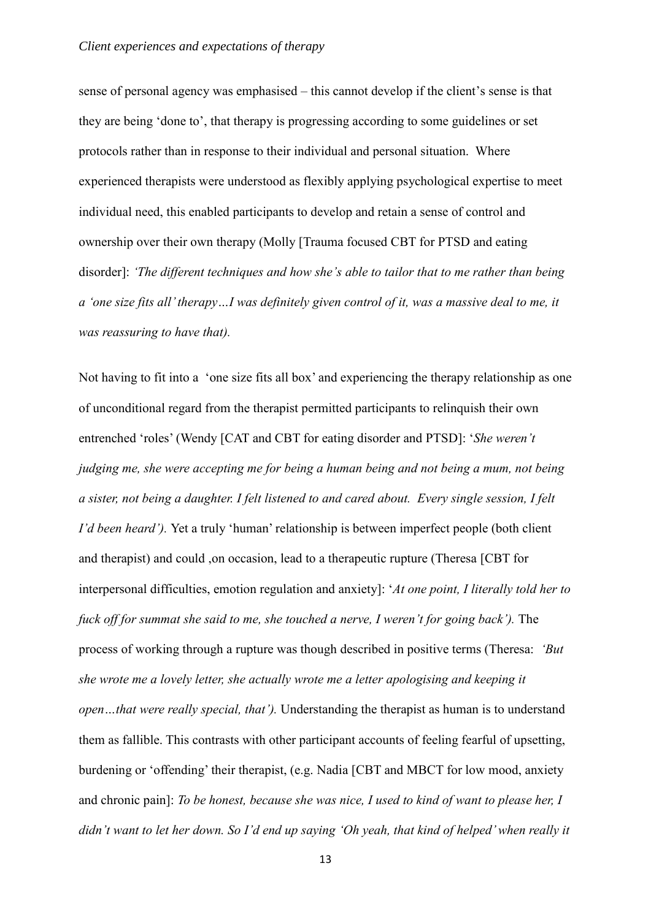sense of personal agency was emphasised – this cannot develop if the client's sense is that they are being 'done to', that therapy is progressing according to some guidelines or set protocols rather than in response to their individual and personal situation. Where experienced therapists were understood as flexibly applying psychological expertise to meet individual need, this enabled participants to develop and retain a sense of control and ownership over their own therapy (Molly [Trauma focused CBT for PTSD and eating disorder]: *'The different techniques and how she's able to tailor that to me rather than being a 'one size fits all' therapy…I was definitely given control of it, was a massive deal to me, it was reassuring to have that).*

Not having to fit into a 'one size fits all box' and experiencing the therapy relationship as one of unconditional regard from the therapist permitted participants to relinquish their own entrenched 'roles' (Wendy [CAT and CBT for eating disorder and PTSD]: '*She weren't judging me, she were accepting me for being a human being and not being a mum, not being a sister, not being a daughter. I felt listened to and cared about. Every single session, I felt I'd been heard'*). Yet a truly 'human' relationship is between imperfect people (both client and therapist) and could ,on occasion, lead to a therapeutic rupture (Theresa [CBT for interpersonal difficulties, emotion regulation and anxiety]: '*At one point, I literally told her to fuck off for summat she said to me, she touched a nerve, I weren't for going back'*). The process of working through a rupture was though described in positive terms (Theresa: *'But she wrote me a lovely letter, she actually wrote me a letter apologising and keeping it open…that were really special, that').* Understanding the therapist as human is to understand them as fallible. This contrasts with other participant accounts of feeling fearful of upsetting, burdening or 'offending' their therapist, (e.g. Nadia [CBT and MBCT for low mood, anxiety and chronic pain]: *To be honest, because she was nice, I used to kind of want to please her, I didn't want to let her down. So I'd end up saying 'Oh yeah, that kind of helped' when really it*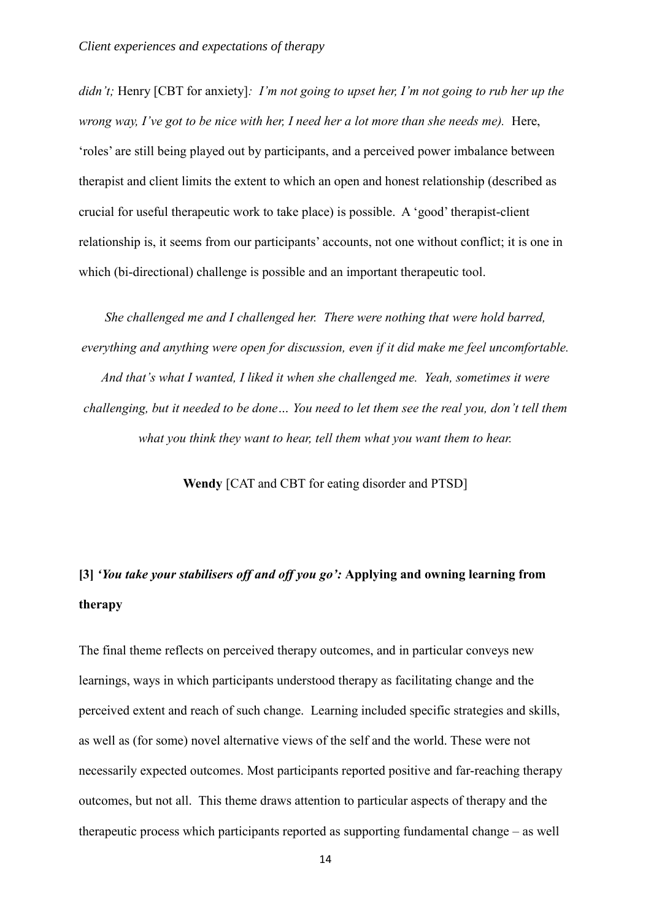*didn't;* Henry [CBT for anxiety]*: I'm not going to upset her, I'm not going to rub her up the wrong way, I've got to be nice with her, I need her a lot more than she needs me).* Here, 'roles' are still being played out by participants, and a perceived power imbalance between therapist and client limits the extent to which an open and honest relationship (described as crucial for useful therapeutic work to take place) is possible. A 'good' therapist-client relationship is, it seems from our participants' accounts, not one without conflict; it is one in which (bi-directional) challenge is possible and an important therapeutic tool.

*She challenged me and I challenged her. There were nothing that were hold barred, everything and anything were open for discussion, even if it did make me feel uncomfortable. And that's what I wanted, I liked it when she challenged me. Yeah, sometimes it were challenging, but it needed to be done… You need to let them see the real you, don't tell them what you think they want to hear, tell them what you want them to hear.* 

**Wendy** [CAT and CBT for eating disorder and PTSD]

# **[3]** *'You take your stabilisers off and off you go':* **Applying and owning learning from therapy**

The final theme reflects on perceived therapy outcomes, and in particular conveys new learnings, ways in which participants understood therapy as facilitating change and the perceived extent and reach of such change. Learning included specific strategies and skills, as well as (for some) novel alternative views of the self and the world. These were not necessarily expected outcomes. Most participants reported positive and far-reaching therapy outcomes, but not all. This theme draws attention to particular aspects of therapy and the therapeutic process which participants reported as supporting fundamental change – as well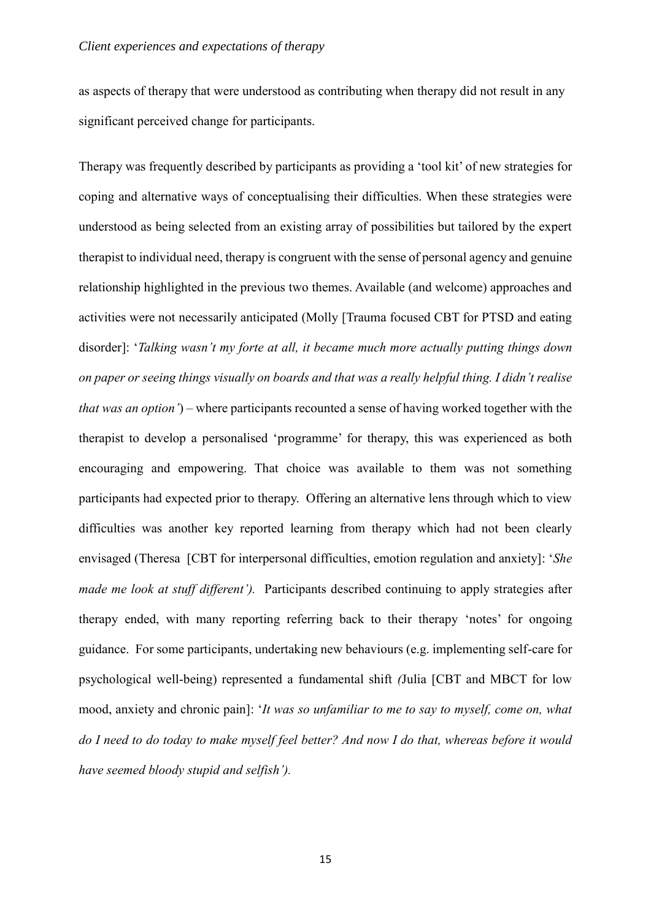as aspects of therapy that were understood as contributing when therapy did not result in any significant perceived change for participants.

Therapy was frequently described by participants as providing a 'tool kit' of new strategies for coping and alternative ways of conceptualising their difficulties. When these strategies were understood as being selected from an existing array of possibilities but tailored by the expert therapist to individual need, therapy is congruent with the sense of personal agency and genuine relationship highlighted in the previous two themes. Available (and welcome) approaches and activities were not necessarily anticipated (Molly [Trauma focused CBT for PTSD and eating disorder]: '*Talking wasn't my forte at all, it became much more actually putting things down on paper or seeing things visually on boards and that was a really helpful thing. I didn't realise that was an option'*) – where participants recounted a sense of having worked together with the therapist to develop a personalised 'programme' for therapy, this was experienced as both encouraging and empowering. That choice was available to them was not something participants had expected prior to therapy. Offering an alternative lens through which to view difficulties was another key reported learning from therapy which had not been clearly envisaged (Theresa [CBT for interpersonal difficulties, emotion regulation and anxiety]: '*She made me look at stuff different').* Participants described continuing to apply strategies after therapy ended, with many reporting referring back to their therapy 'notes' for ongoing guidance. For some participants, undertaking new behaviours (e.g. implementing self-care for psychological well-being) represented a fundamental shift *(*Julia [CBT and MBCT for low mood, anxiety and chronic pain]: '*It was so unfamiliar to me to say to myself, come on, what do I need to do today to make myself feel better? And now I do that, whereas before it would have seemed bloody stupid and selfish').*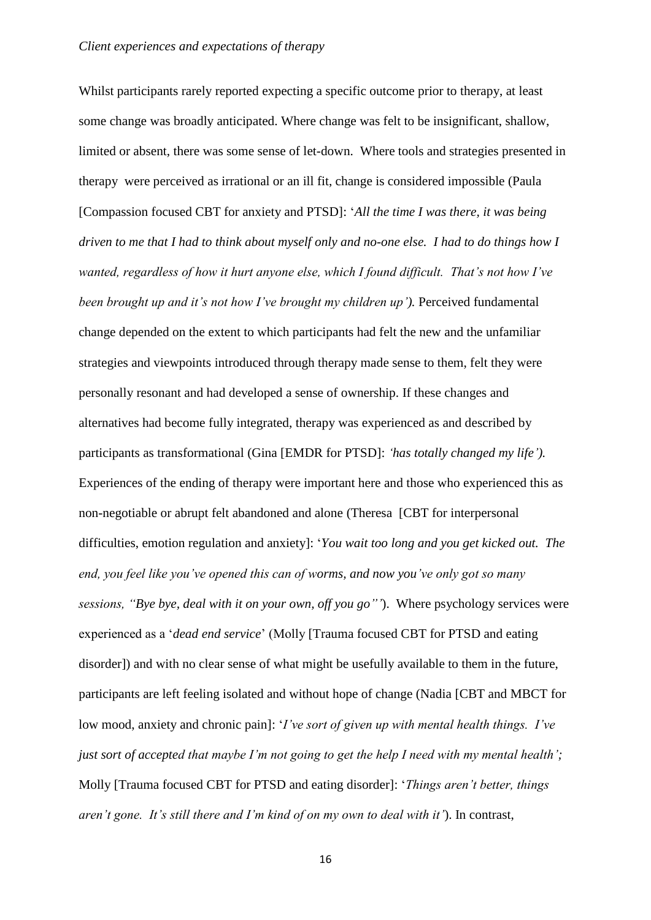Whilst participants rarely reported expecting a specific outcome prior to therapy, at least some change was broadly anticipated. Where change was felt to be insignificant, shallow, limited or absent, there was some sense of let-down. Where tools and strategies presented in therapy were perceived as irrational or an ill fit, change is considered impossible (Paula [Compassion focused CBT for anxiety and PTSD]: '*All the time I was there, it was being driven to me that I had to think about myself only and no-one else. I had to do things how I wanted, regardless of how it hurt anyone else, which I found difficult. That's not how I've been brought up and it's not how I've brought my children up'*). Perceived fundamental change depended on the extent to which participants had felt the new and the unfamiliar strategies and viewpoints introduced through therapy made sense to them, felt they were personally resonant and had developed a sense of ownership. If these changes and alternatives had become fully integrated, therapy was experienced as and described by participants as transformational (Gina [EMDR for PTSD]: *'has totally changed my life').*  Experiences of the ending of therapy were important here and those who experienced this as non-negotiable or abrupt felt abandoned and alone (Theresa [CBT for interpersonal difficulties, emotion regulation and anxiety]: '*You wait too long and you get kicked out. The end, you feel like you've opened this can of worms, and now you've only got so many sessions, "Bye bye, deal with it on your own, off you go"'*). Where psychology services were experienced as a '*dead end service*' (Molly [Trauma focused CBT for PTSD and eating disorder]) and with no clear sense of what might be usefully available to them in the future, participants are left feeling isolated and without hope of change (Nadia [CBT and MBCT for low mood, anxiety and chronic pain]: '*I've sort of given up with mental health things. I've just sort of accepted that maybe I'm not going to get the help I need with my mental health'*; Molly [Trauma focused CBT for PTSD and eating disorder]: '*Things aren't better, things aren't gone. It's still there and I'm kind of on my own to deal with it'*). In contrast,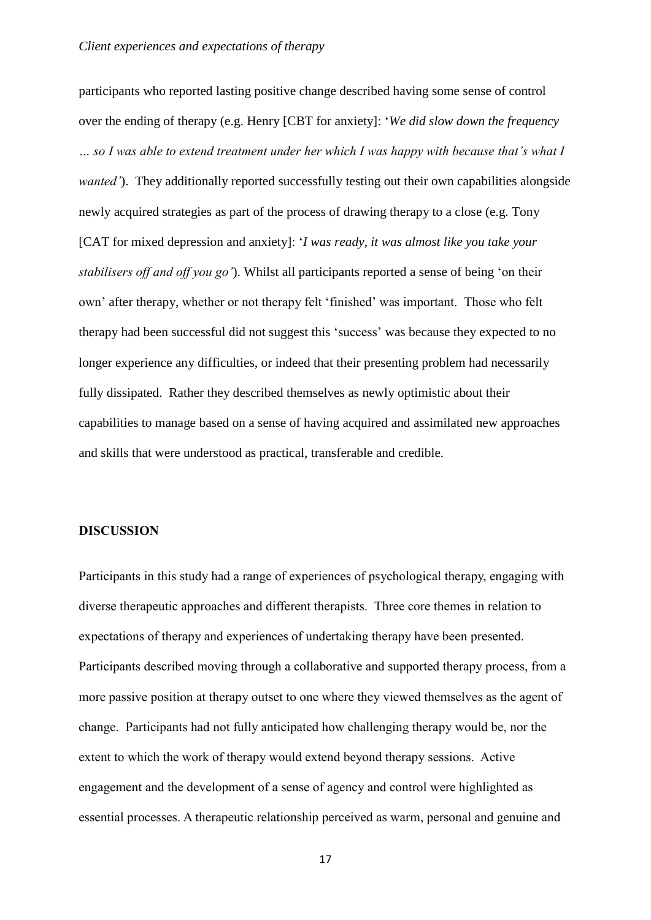participants who reported lasting positive change described having some sense of control over the ending of therapy (e.g. Henry [CBT for anxiety]: '*We did slow down the frequency … so I was able to extend treatment under her which I was happy with because that's what I wanted'*). They additionally reported successfully testing out their own capabilities alongside newly acquired strategies as part of the process of drawing therapy to a close (e.g. Tony [CAT for mixed depression and anxiety]: '*I was ready, it was almost like you take your stabilisers off and off you go'*). Whilst all participants reported a sense of being 'on their own' after therapy, whether or not therapy felt 'finished' was important. Those who felt therapy had been successful did not suggest this 'success' was because they expected to no longer experience any difficulties, or indeed that their presenting problem had necessarily fully dissipated. Rather they described themselves as newly optimistic about their capabilities to manage based on a sense of having acquired and assimilated new approaches and skills that were understood as practical, transferable and credible.

#### **DISCUSSION**

Participants in this study had a range of experiences of psychological therapy, engaging with diverse therapeutic approaches and different therapists. Three core themes in relation to expectations of therapy and experiences of undertaking therapy have been presented. Participants described moving through a collaborative and supported therapy process, from a more passive position at therapy outset to one where they viewed themselves as the agent of change. Participants had not fully anticipated how challenging therapy would be, nor the extent to which the work of therapy would extend beyond therapy sessions. Active engagement and the development of a sense of agency and control were highlighted as essential processes. A therapeutic relationship perceived as warm, personal and genuine and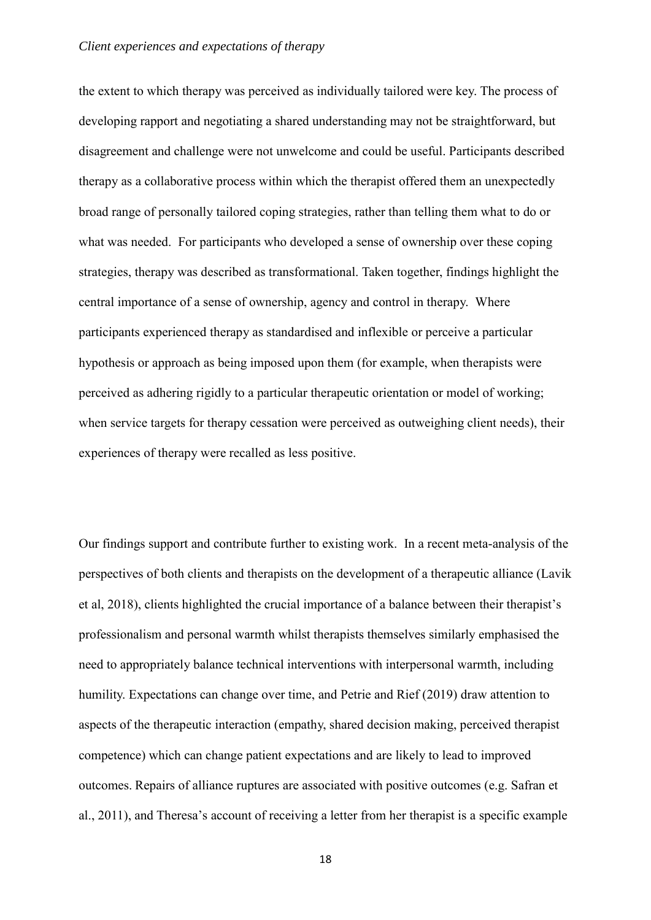the extent to which therapy was perceived as individually tailored were key. The process of developing rapport and negotiating a shared understanding may not be straightforward, but disagreement and challenge were not unwelcome and could be useful. Participants described therapy as a collaborative process within which the therapist offered them an unexpectedly broad range of personally tailored coping strategies, rather than telling them what to do or what was needed. For participants who developed a sense of ownership over these coping strategies, therapy was described as transformational. Taken together, findings highlight the central importance of a sense of ownership, agency and control in therapy. Where participants experienced therapy as standardised and inflexible or perceive a particular hypothesis or approach as being imposed upon them (for example, when therapists were perceived as adhering rigidly to a particular therapeutic orientation or model of working; when service targets for therapy cessation were perceived as outweighing client needs), their experiences of therapy were recalled as less positive.

Our findings support and contribute further to existing work. In a recent meta-analysis of the perspectives of both clients and therapists on the development of a therapeutic alliance (Lavik et al, 2018), clients highlighted the crucial importance of a balance between their therapist's professionalism and personal warmth whilst therapists themselves similarly emphasised the need to appropriately balance technical interventions with interpersonal warmth, including humility. Expectations can change over time, and Petrie and Rief (2019) draw attention to aspects of the therapeutic interaction (empathy, shared decision making, perceived therapist competence) which can change patient expectations and are likely to lead to improved outcomes. Repairs of alliance ruptures are associated with positive outcomes (e.g. Safran et al., 2011), and Theresa's account of receiving a letter from her therapist is a specific example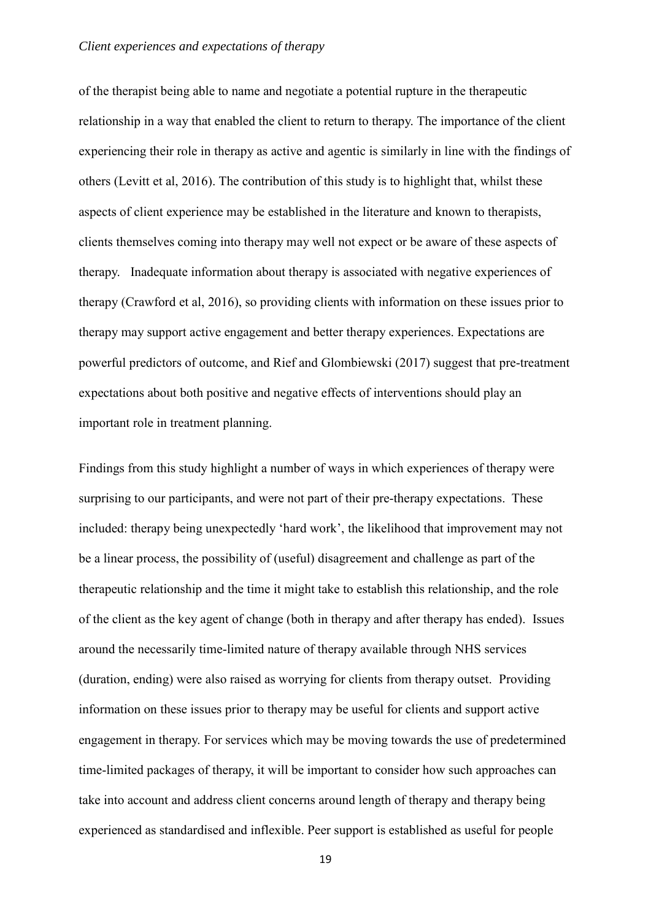of the therapist being able to name and negotiate a potential rupture in the therapeutic relationship in a way that enabled the client to return to therapy. The importance of the client experiencing their role in therapy as active and agentic is similarly in line with the findings of others (Levitt et al, 2016). The contribution of this study is to highlight that, whilst these aspects of client experience may be established in the literature and known to therapists, clients themselves coming into therapy may well not expect or be aware of these aspects of therapy. Inadequate information about therapy is associated with negative experiences of therapy (Crawford et al, 2016), so providing clients with information on these issues prior to therapy may support active engagement and better therapy experiences. Expectations are powerful predictors of outcome, and Rief and Glombiewski (2017) suggest that pre-treatment expectations about both positive and negative effects of interventions should play an important role in treatment planning.

Findings from this study highlight a number of ways in which experiences of therapy were surprising to our participants, and were not part of their pre-therapy expectations. These included: therapy being unexpectedly 'hard work', the likelihood that improvement may not be a linear process, the possibility of (useful) disagreement and challenge as part of the therapeutic relationship and the time it might take to establish this relationship, and the role of the client as the key agent of change (both in therapy and after therapy has ended). Issues around the necessarily time-limited nature of therapy available through NHS services (duration, ending) were also raised as worrying for clients from therapy outset. Providing information on these issues prior to therapy may be useful for clients and support active engagement in therapy. For services which may be moving towards the use of predetermined time-limited packages of therapy, it will be important to consider how such approaches can take into account and address client concerns around length of therapy and therapy being experienced as standardised and inflexible. Peer support is established as useful for people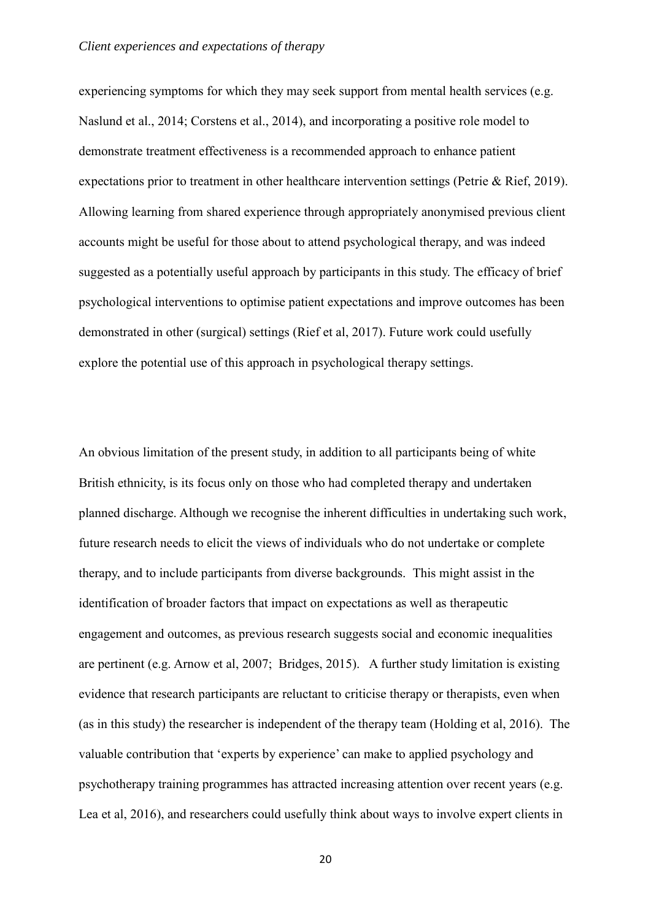experiencing symptoms for which they may seek support from mental health services (e.g. Naslund et al., 2014; Corstens et al., 2014), and incorporating a positive role model to demonstrate treatment effectiveness is a recommended approach to enhance patient expectations prior to treatment in other healthcare intervention settings (Petrie & Rief, 2019). Allowing learning from shared experience through appropriately anonymised previous client accounts might be useful for those about to attend psychological therapy, and was indeed suggested as a potentially useful approach by participants in this study. The efficacy of brief psychological interventions to optimise patient expectations and improve outcomes has been demonstrated in other (surgical) settings (Rief et al, 2017). Future work could usefully explore the potential use of this approach in psychological therapy settings.

An obvious limitation of the present study, in addition to all participants being of white British ethnicity, is its focus only on those who had completed therapy and undertaken planned discharge. Although we recognise the inherent difficulties in undertaking such work, future research needs to elicit the views of individuals who do not undertake or complete therapy, and to include participants from diverse backgrounds. This might assist in the identification of broader factors that impact on expectations as well as therapeutic engagement and outcomes, as previous research suggests social and economic inequalities are pertinent (e.g. Arnow et al, 2007; Bridges, 2015). A further study limitation is existing evidence that research participants are reluctant to criticise therapy or therapists, even when (as in this study) the researcher is independent of the therapy team (Holding et al, 2016). The valuable contribution that 'experts by experience' can make to applied psychology and psychotherapy training programmes has attracted increasing attention over recent years (e.g. Lea et al, 2016), and researchers could usefully think about ways to involve expert clients in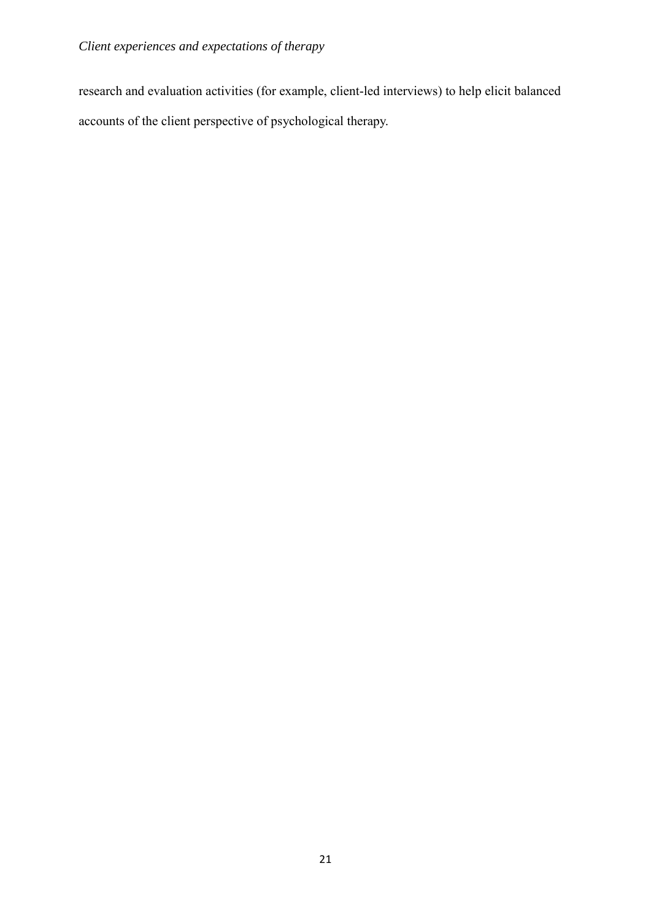research and evaluation activities (for example, client-led interviews) to help elicit balanced accounts of the client perspective of psychological therapy.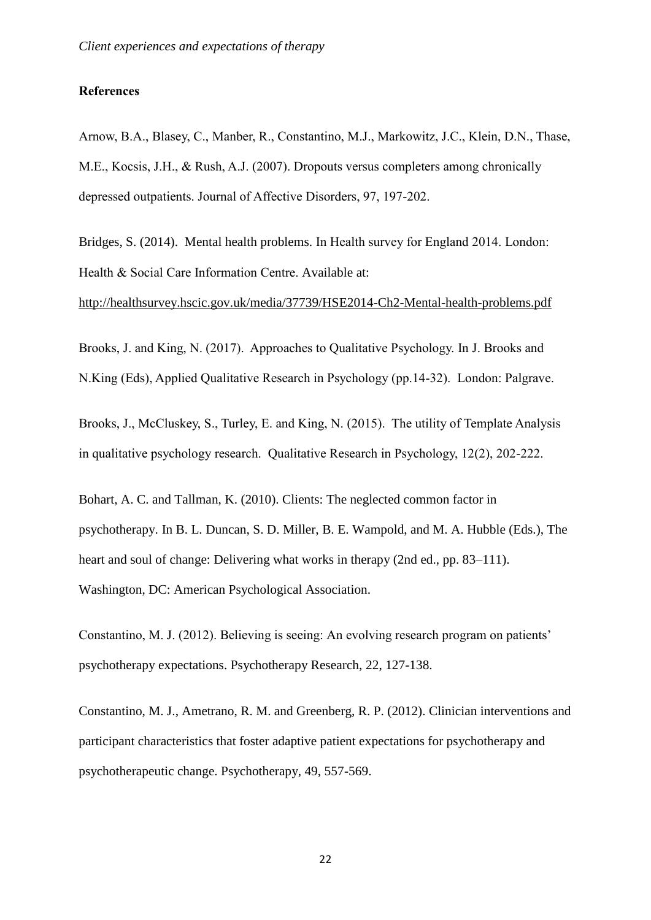#### **References**

Arnow, B.A., Blasey, C., Manber, R., Constantino, M.J., Markowitz, J.C., Klein, D.N., Thase, M.E., Kocsis, J.H., & Rush, A.J. (2007). Dropouts versus completers among chronically depressed outpatients. Journal of Affective Disorders, 97, 197-202.

Bridges, S. (2014). Mental health problems. In Health survey for England 2014. London: Health & Social Care Information Centre. Available at:

<http://healthsurvey.hscic.gov.uk/media/37739/HSE2014-Ch2-Mental-health-problems.pdf>

Brooks, J. and King, N. (2017). Approaches to Qualitative Psychology. In J. Brooks and N.King (Eds), Applied Qualitative Research in Psychology (pp.14-32). London: Palgrave.

Brooks, J., McCluskey, S., Turley, E. and King, N. (2015). The utility of Template Analysis in qualitative psychology research. Qualitative Research in Psychology, 12(2), 202-222.

Bohart, A. C. and Tallman, K. (2010). Clients: The neglected common factor in psychotherapy. In B. L. Duncan, S. D. Miller, B. E. Wampold, and M. A. Hubble (Eds.), The heart and soul of change: Delivering what works in therapy (2nd ed., pp. 83–111). Washington, DC: American Psychological Association.

Constantino, M. J. (2012). Believing is seeing: An evolving research program on patients' psychotherapy expectations. Psychotherapy Research, 22, 127-138.

Constantino, M. J., Ametrano, R. M. and Greenberg, R. P. (2012). Clinician interventions and participant characteristics that foster adaptive patient expectations for psychotherapy and psychotherapeutic change. Psychotherapy, 49, 557-569.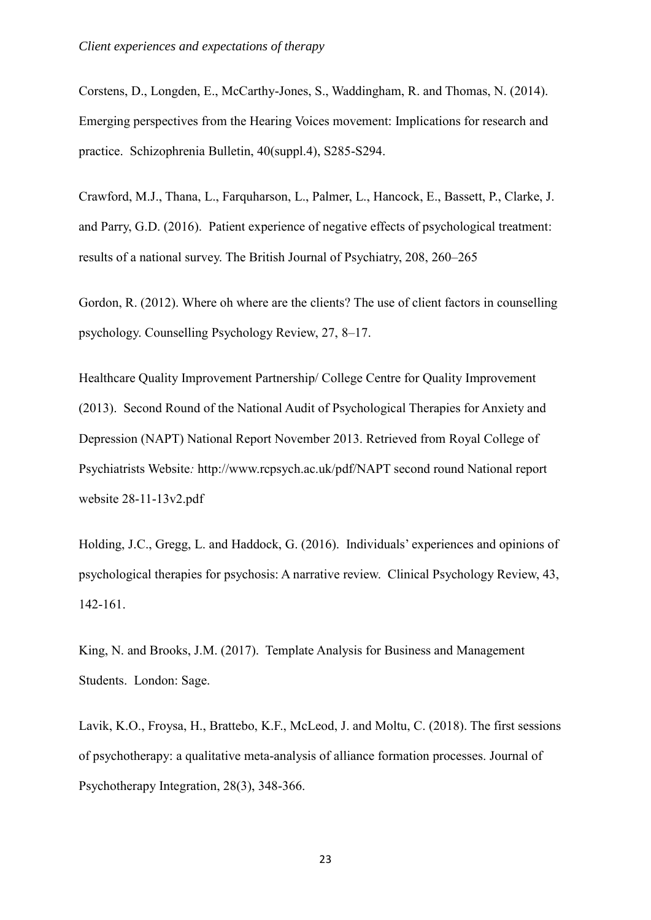Corstens, D., Longden, E., McCarthy-Jones, S., Waddingham, R. and Thomas, N. (2014). Emerging perspectives from the Hearing Voices movement: Implications for research and practice. Schizophrenia Bulletin, 40(suppl.4), S285-S294.

Crawford, M.J., Thana, L., Farquharson, L., Palmer, L., Hancock, E., Bassett, P., Clarke, J. and Parry, G.D. (2016). Patient experience of negative effects of psychological treatment: results of a national survey. The British Journal of Psychiatry, 208, 260–265

Gordon, R. (2012). Where oh where are the clients? The use of client factors in counselling psychology. Counselling Psychology Review, 27, 8–17.

Healthcare Quality Improvement Partnership/ College Centre for Quality Improvement (2013). Second Round of the National Audit of Psychological Therapies for Anxiety and Depression (NAPT) National Report November 2013. Retrieved from Royal College of Psychiatrists Website*:* http://www.rcpsych.ac.uk/pdf/NAPT second round National report website 28-11-13v2.pdf

Holding, J.C., Gregg, L. and Haddock, G. (2016). Individuals' experiences and opinions of psychological therapies for psychosis: A narrative review. Clinical Psychology Review, 43, 142-161.

King, N. and Brooks, J.M. (2017). Template Analysis for Business and Management Students. London: Sage.

Lavik, K.O., Froysa, H., Brattebo, K.F., McLeod, J. and Moltu, C. (2018). The first sessions of psychotherapy: a qualitative meta-analysis of alliance formation processes. Journal of Psychotherapy Integration, 28(3), 348-366.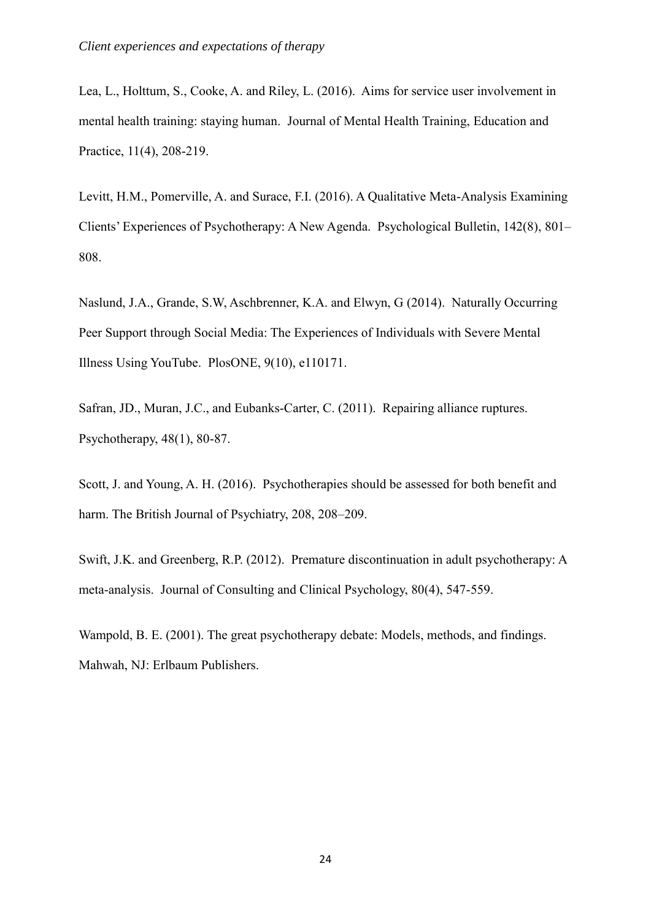Lea, L., Holttum, S., Cooke, A. and Riley, L. (2016). Aims for service user involvement in mental health training: staying human. Journal of Mental Health Training, [Education](https://www.scopus.com/sourceid/21100205991?origin=recordpage) and [Practice,](https://www.scopus.com/sourceid/21100205991?origin=recordpage) 11(4), 208-219.

Levitt, H.M., Pomerville, A. and Surace, F.I. (2016). A Qualitative Meta-Analysis Examining Clients' Experiences of Psychotherapy: A New Agenda. Psychological Bulletin, 142(8), 801– 808.

Naslund, J.A., Grande, S.W, Aschbrenner, K.A. and Elwyn, G (2014). Naturally Occurring Peer Support through Social Media: The Experiences of Individuals with Severe Mental Illness Using YouTube. PlosONE, 9(10), e110171.

Safran, JD., Muran, J.C., and Eubanks-Carter, C. (2011). Repairing alliance ruptures. Psychotherapy, 48(1), 80-87.

Scott, J. and Young, A. H. (2016). Psychotherapies should be assessed for both benefit and harm. The British Journal of Psychiatry, 208, 208–209.

Swift, J.K. and Greenberg, R.P. (2012). Premature discontinuation in adult psychotherapy: A meta-analysis. Journal of Consulting and Clinical Psychology, 80(4), 547-559.

Wampold, B. E. (2001). The great psychotherapy debate: Models, methods, and findings. Mahwah, NJ: Erlbaum Publishers.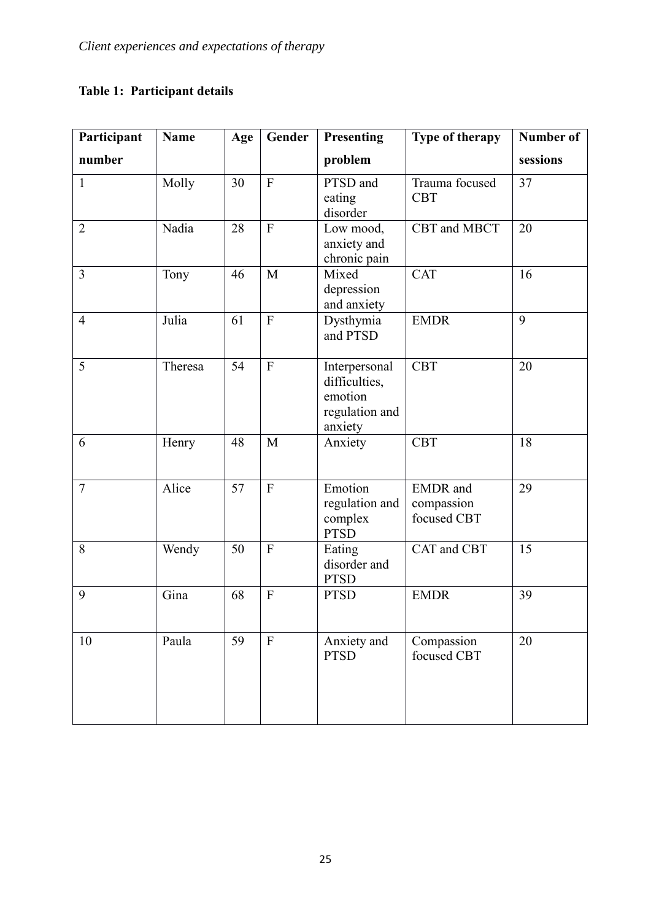## **Table 1: Participant details**

| Participant    | Name    | Age | Gender                    | <b>Presenting</b>                                                      | <b>Type of therapy</b>                | Number of |
|----------------|---------|-----|---------------------------|------------------------------------------------------------------------|---------------------------------------|-----------|
| number         |         |     |                           | problem                                                                |                                       | sessions  |
| $\mathbf{1}$   | Molly   | 30  | $\overline{F}$            | PTSD and<br>eating<br>disorder                                         | Trauma focused<br><b>CBT</b>          | 37        |
| $\overline{2}$ | Nadia   | 28  | $\overline{F}$            | Low mood,<br>anxiety and<br>chronic pain                               | CBT and MBCT                          | 20        |
| 3              | Tony    | 46  | M                         | Mixed<br>depression<br>and anxiety                                     | <b>CAT</b>                            | 16        |
| $\overline{4}$ | Julia   | 61  | $\overline{F}$            | Dysthymia<br>and PTSD                                                  | <b>EMDR</b>                           | 9         |
| 5              | Theresa | 54  | $\overline{F}$            | Interpersonal<br>difficulties,<br>emotion<br>regulation and<br>anxiety | <b>CBT</b>                            | 20        |
| 6              | Henry   | 48  | M                         | Anxiety                                                                | <b>CBT</b>                            | 18        |
| $\overline{7}$ | Alice   | 57  | $\overline{F}$            | Emotion<br>regulation and<br>complex<br><b>PTSD</b>                    | EMDR and<br>compassion<br>focused CBT | 29        |
| 8              | Wendy   | 50  | $\boldsymbol{\mathrm{F}}$ | Eating<br>disorder and<br><b>PTSD</b>                                  | CAT and CBT                           | 15        |
| 9              | Gina    | 68  | $\boldsymbol{\mathrm{F}}$ | <b>PTSD</b>                                                            | <b>EMDR</b>                           | 39        |
| 10             | Paula   | 59  | $\boldsymbol{\mathrm{F}}$ | Anxiety and<br><b>PTSD</b>                                             | Compassion<br>focused CBT             | 20        |